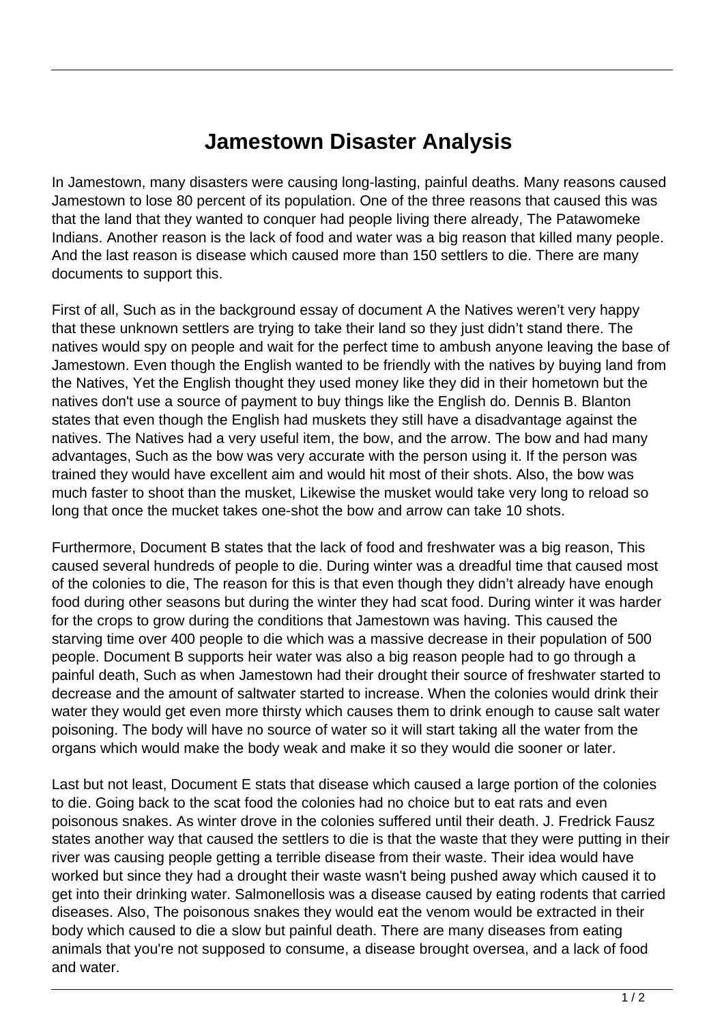## **Jamestown Disaster Analysis**

In Jamestown, many disasters were causing long-lasting, painful deaths. Many reasons caused Jamestown to lose 80 percent of its population. One of the three reasons that caused this was that the land that they wanted to conquer had people living there already, The Patawomeke Indians. Another reason is the lack of food and water was a big reason that killed many people. And the last reason is disease which caused more than 150 settlers to die. There are many documents to support this.

First of all, Such as in the background essay of document A the Natives weren't very happy that these unknown settlers are trying to take their land so they just didn't stand there. The natives would spy on people and wait for the perfect time to ambush anyone leaving the base of Jamestown. Even though the English wanted to be friendly with the natives by buying land from the Natives, Yet the English thought they used money like they did in their hometown but the natives don't use a source of payment to buy things like the English do. Dennis B. Blanton states that even though the English had muskets they still have a disadvantage against the natives. The Natives had a very useful item, the bow, and the arrow. The bow and had many advantages, Such as the bow was very accurate with the person using it. If the person was trained they would have excellent aim and would hit most of their shots. Also, the bow was much faster to shoot than the musket, Likewise the musket would take very long to reload so long that once the mucket takes one-shot the bow and arrow can take 10 shots.

Furthermore, Document B states that the lack of food and freshwater was a big reason, This caused several hundreds of people to die. During winter was a dreadful time that caused most of the colonies to die, The reason for this is that even though they didn't already have enough food during other seasons but during the winter they had scat food. During winter it was harder for the crops to grow during the conditions that Jamestown was having. This caused the starving time over 400 people to die which was a massive decrease in their population of 500 people. Document B supports heir water was also a big reason people had to go through a painful death, Such as when Jamestown had their drought their source of freshwater started to decrease and the amount of saltwater started to increase. When the colonies would drink their water they would get even more thirsty which causes them to drink enough to cause salt water poisoning. The body will have no source of water so it will start taking all the water from the organs which would make the body weak and make it so they would die sooner or later.

Last but not least, Document E stats that disease which caused a large portion of the colonies to die. Going back to the scat food the colonies had no choice but to eat rats and even poisonous snakes. As winter drove in the colonies suffered until their death. J. Fredrick Fausz states another way that caused the settlers to die is that the waste that they were putting in their river was causing people getting a terrible disease from their waste. Their idea would have worked but since they had a drought their waste wasn't being pushed away which caused it to get into their drinking water. Salmonellosis was a disease caused by eating rodents that carried diseases. Also, The poisonous snakes they would eat the venom would be extracted in their body which caused to die a slow but painful death. There are many diseases from eating animals that you're not supposed to consume, a disease brought oversea, and a lack of food and water.